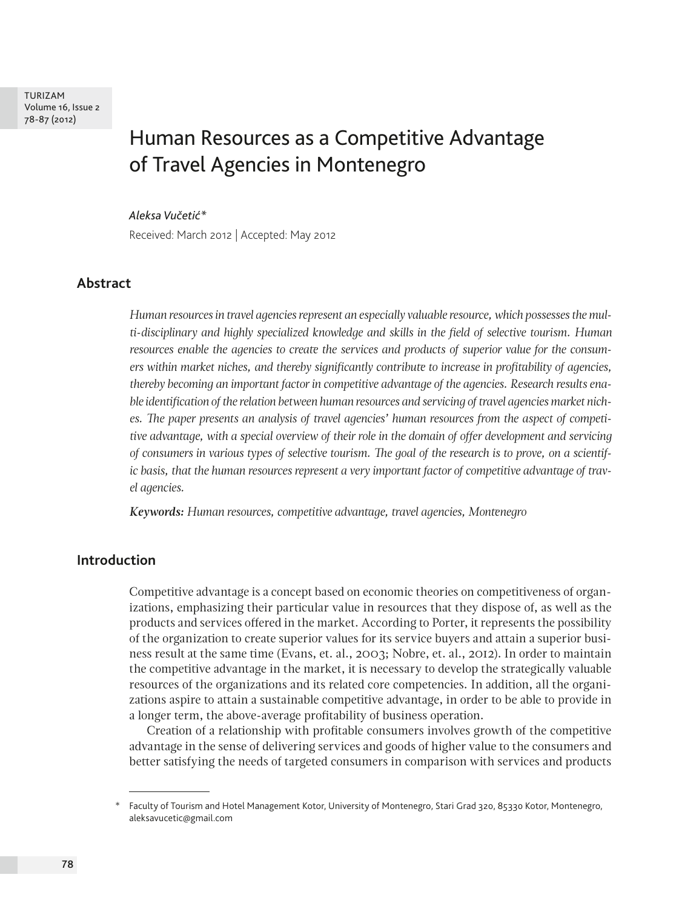TURIZAM Volume 16, Issue 2 78-87 (2012)

# Human Resources as a Competitive Advantage of Travel Agencies in Montenegro

#### *Aleksa Vučetić\**

Received: March 2012 | Accepted: May 2012

#### **Abstract**

*Human resources in travel agencies represent an especially valuable resource, which possesses the multi-disciplinary and highly specialized knowledge and skills in the field of selective tourism. Human resources enable the agencies to create the services and products of superior value for the consumers within market niches, and thereby significantly contribute to increase in profitability of agencies, thereby becoming an important factor in competitive advantage of the agencies. Research results enable identification of the relation between human resources and servicing of travel agencies market niches. The paper presents an analysis of travel agencies' human resources from the aspect of competitive advantage, with a special overview of their role in the domain of offer development and servicing of consumers in various types of selective tourism. The goal of the research is to prove, on a scientific basis, that the human resources represent a very important factor of competitive advantage of travel agencies.*

*Keywords: Human resources, competitive advantage, travel agencies, Montenegro*

## **Introduction**

Competitive advantage is a concept based on economic theories on competitiveness of organizations, emphasizing their particular value in resources that they dispose of, as well as the products and services offered in the market. According to Porter, it represents the possibility of the organization to create superior values for its service buyers and attain a superior business result at the same time (Evans, et. al., 2003; Nobre, et. al., 2012). In order to maintain the competitive advantage in the market, it is necessary to develop the strategically valuable resources of the organizations and its related core competencies. In addition, all the organizations aspire to attain a sustainable competitive advantage, in order to be able to provide in a longer term, the above-average profitability of business operation.

Creation of a relationship with profitable consumers involves growth of the competitive advantage in the sense of delivering services and goods of higher value to the consumers and better satisfying the needs of targeted consumers in comparison with services and products

<sup>\*</sup> Faculty of Tourism and Hotel Management Kotor, University of Montenegro, Stari Grad 320, 85330 Kotor, Montenegro, aleksavucetic@gmail.com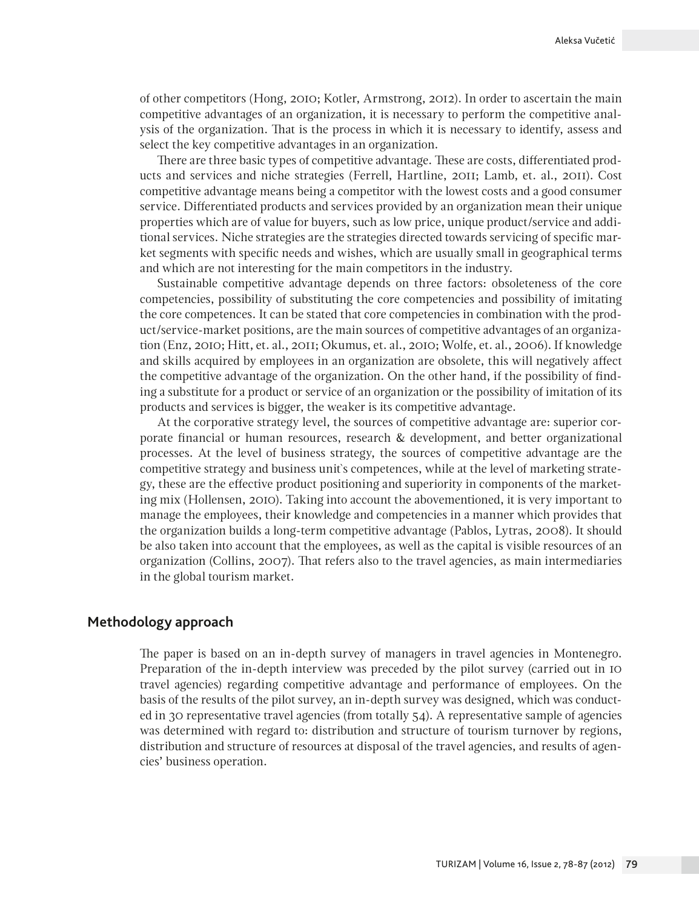of other competitors (Hong, 2010; Kotler, Armstrong, 2012). In order to ascertain the main competitive advantages of an organization, it is necessary to perform the competitive analysis of the organization. That is the process in which it is necessary to identify, assess and select the key competitive advantages in an organization.

There are three basic types of competitive advantage. These are costs, differentiated products and services and niche strategies (Ferrell, Hartline, 2011; Lamb, et. al., 2011). Cost competitive advantage means being a competitor with the lowest costs and a good consumer service. Differentiated products and services provided by an organization mean their unique properties which are of value for buyers, such as low price, unique product/service and additional services. Niche strategies are the strategies directed towards servicing of specific market segments with specific needs and wishes, which are usually small in geographical terms and which are not interesting for the main competitors in the industry.

Sustainable competitive advantage depends on three factors: obsoleteness of the core competencies, possibility of substituting the core competencies and possibility of imitating the core competences. It can be stated that core competencies in combination with the product/service-market positions, are the main sources of competitive advantages of an organization (Enz, 2010; Hitt, et. al., 2011; Okumus, et. al., 2010; Wolfe, et. al., 2006). If knowledge and skills acquired by employees in an organization are obsolete, this will negatively affect the competitive advantage of the organization. On the other hand, if the possibility of finding a substitute for a product or service of an organization or the possibility of imitation of its products and services is bigger, the weaker is its competitive advantage.

At the corporative strategy level, the sources of competitive advantage are: superior corporate financial or human resources, research & development, and better organizational processes. At the level of business strategy, the sources of competitive advantage are the competitive strategy and business unit`s competences, while at the level of marketing strategy, these are the effective product positioning and superiority in components of the marketing mix (Hollensen, 2010). Taking into account the abovementioned, it is very important to manage the employees, their knowledge and competencies in a manner which provides that the organization builds a long-term competitive advantage (Pablos, Lytras, 2008). It should be also taken into account that the employees, as well as the capital is visible resources of an organization (Collins, 2007). That refers also to the travel agencies, as main intermediaries in the global tourism market.

# **Methodology approach**

The paper is based on an in-depth survey of managers in travel agencies in Montenegro. Preparation of the in-depth interview was preceded by the pilot survey (carried out in 10 travel agencies) regarding competitive advantage and performance of employees. On the basis of the results of the pilot survey, an in-depth survey was designed, which was conducted in 30 representative travel agencies (from totally 54). A representative sample of agencies was determined with regard to: distribution and structure of tourism turnover by regions, distribution and structure of resources at disposal of the travel agencies, and results of agencies' business operation.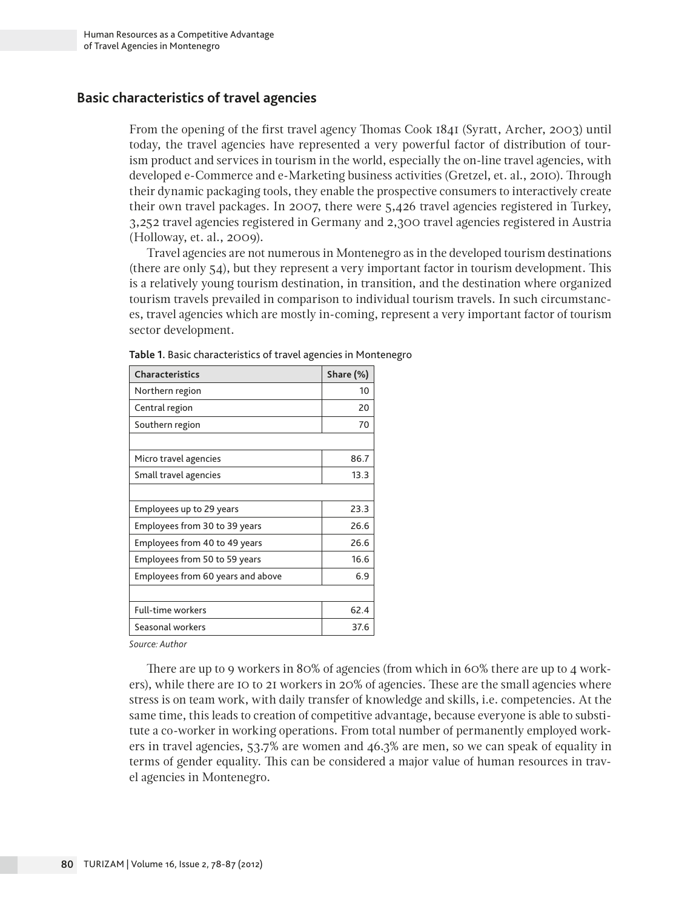### **Basic characteristics of travel agencies**

From the opening of the first travel agency Thomas Cook 1841 (Syratt, Archer, 2003) until today, the travel agencies have represented a very powerful factor of distribution of tourism product and services in tourism in the world, especially the on-line travel agencies, with developed e-Commerce and e-Marketing business activities (Gretzel, et. al., 2010). Through their dynamic packaging tools, they enable the prospective consumers to interactively create their own travel packages. In 2007, there were 5,426 travel agencies registered in Turkey, 3,252 travel agencies registered in Germany and 2,300 travel agencies registered in Austria (Holloway, et. al., 2009).

Travel agencies are not numerous in Montenegro as in the developed tourism destinations (there are only 54), but they represent a very important factor in tourism development. This is a relatively young tourism destination, in transition, and the destination where organized tourism travels prevailed in comparison to individual tourism travels. In such circumstances, travel agencies which are mostly in-coming, represent a very important factor of tourism sector development.

| <b>Characteristics</b>            | Share (%) |
|-----------------------------------|-----------|
| Northern region                   | 10        |
| Central region                    | 20        |
| Southern region                   | 70        |
|                                   |           |
| Micro travel agencies             | 86.7      |
| Small travel agencies             | 13.3      |
|                                   |           |
| Employees up to 29 years          | 23.3      |
| Employees from 30 to 39 years     | 26.6      |
| Employees from 40 to 49 years     | 26.6      |
| Employees from 50 to 59 years     | 16.6      |
| Employees from 60 years and above | 6.9       |
|                                   |           |
| <b>Full-time workers</b>          | 62.4      |
| Seasonal workers                  | 37.6      |

**Table 1.** Basic characteristics of travel agencies in Montenegro

*Source: Author*

There are up to 9 workers in 80% of agencies (from which in 60% there are up to 4 workers), while there are 10 to 21 workers in 20% of agencies. These are the small agencies where stress is on team work, with daily transfer of knowledge and skills, i.e. competencies. At the same time, this leads to creation of competitive advantage, because everyone is able to substitute a co-worker in working operations. From total number of permanently employed workers in travel agencies, 53.7% are women and 46.3% are men, so we can speak of equality in terms of gender equality. This can be considered a major value of human resources in travel agencies in Montenegro.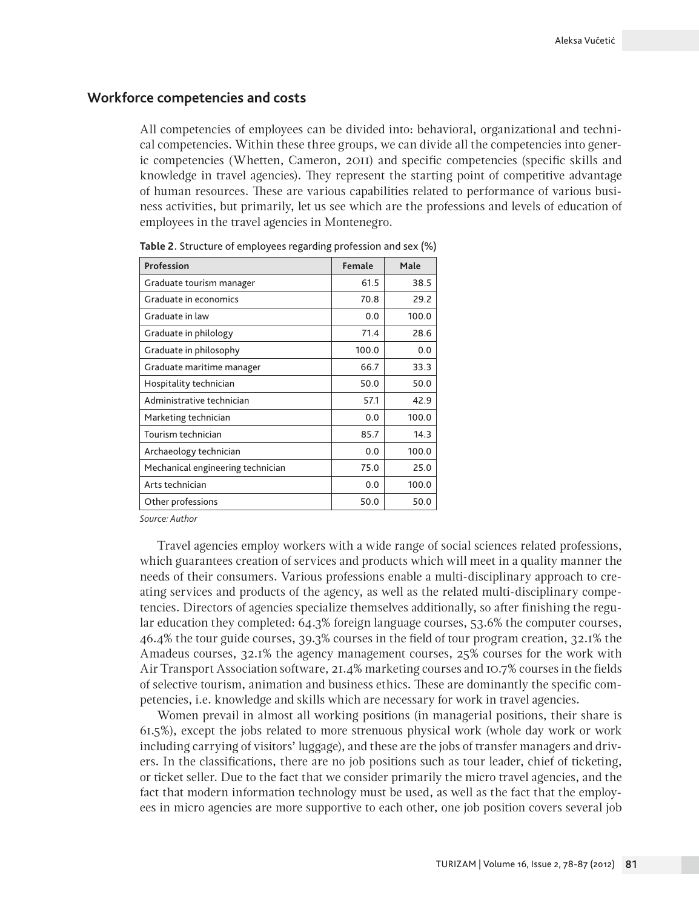#### **Workforce competencies and costs**

All competencies of employees can be divided into: behavioral, organizational and technical competencies. Within these three groups, we can divide all the competencies into generic competencies (Whetten, Cameron, 2011) and specific competencies (specific skills and knowledge in travel agencies). They represent the starting point of competitive advantage of human resources. These are various capabilities related to performance of various business activities, but primarily, let us see which are the professions and levels of education of employees in the travel agencies in Montenegro.

| Profession                        | Female | Male  |
|-----------------------------------|--------|-------|
| Graduate tourism manager          | 61.5   | 38.5  |
| Graduate in economics             | 70.8   | 29.2  |
| Graduate in law                   | 0.0    | 100.0 |
| Graduate in philology             | 71.4   | 28.6  |
| Graduate in philosophy            | 100.0  | 0.0   |
| Graduate maritime manager         | 66.7   | 33.3  |
| Hospitality technician            | 50.0   | 50.0  |
| Administrative technician         | 57.1   | 42.9  |
| Marketing technician              | 0.0    | 100.0 |
| Tourism technician                | 85.7   | 14.3  |
| Archaeology technician            | 0.0    | 100.0 |
| Mechanical engineering technician | 75.0   | 25.0  |
| Arts technician                   | 0.0    | 100.0 |
| Other professions                 | 50.0   | 50.0  |

**Table 2.** Structure of employees regarding profession and sex (%)

*Source: Author*

Travel agencies employ workers with a wide range of social sciences related professions, which guarantees creation of services and products which will meet in a quality manner the needs of their consumers. Various professions enable a multi-disciplinary approach to creating services and products of the agency, as well as the related multi-disciplinary competencies. Directors of agencies specialize themselves additionally, so after finishing the regular education they completed: 64.3% foreign language courses, 53.6% the computer courses, 46.4% the tour guide courses, 39.3% courses in the field of tour program creation, 32.1% the Amadeus courses, 32.1% the agency management courses, 25% courses for the work with Air Transport Association software, 21.4% marketing courses and 10.7% courses in the fields of selective tourism, animation and business ethics. These are dominantly the specific competencies, i.e. knowledge and skills which are necessary for work in travel agencies.

Women prevail in almost all working positions (in managerial positions, their share is 61.5%), except the jobs related to more strenuous physical work (whole day work or work including carrying of visitors' luggage), and these are the jobs of transfer managers and drivers. In the classifications, there are no job positions such as tour leader, chief of ticketing, or ticket seller. Due to the fact that we consider primarily the micro travel agencies, and the fact that modern information technology must be used, as well as the fact that the employees in micro agencies are more supportive to each other, one job position covers several job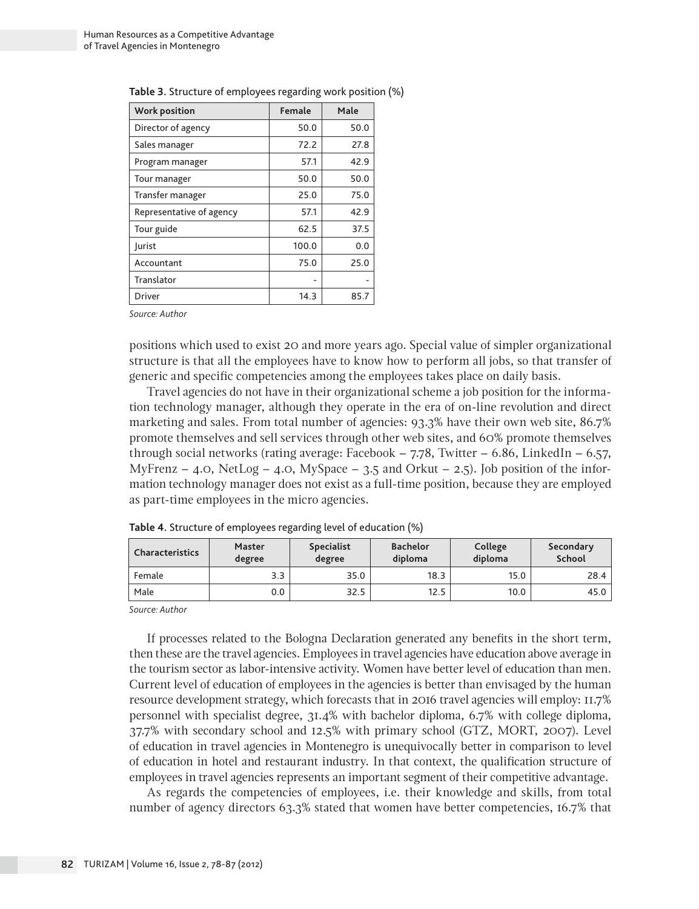| Work position            | Female | Male |  |
|--------------------------|--------|------|--|
| Director of agency       | 50.0   | 50.0 |  |
| Sales manager            | 72.2   | 27.8 |  |
| Program manager          | 57.1   | 42.9 |  |
| Tour manager             | 50.0   | 50.0 |  |
| Transfer manager         | 25.0   | 75.0 |  |
| Representative of agency | 57.1   | 42.9 |  |
| Tour guide               | 62.5   | 37.5 |  |
| <b>Jurist</b>            | 100.0  | 0.0  |  |
| Accountant               | 75.0   | 25.0 |  |
| Translator               |        |      |  |
| <b>Driver</b>            | 14.3   | 85.7 |  |

**Table 3.** Structure of employees regarding work position (%)

*Source: Author*

positions which used to exist 20 and more years ago. Special value of simpler organizational structure is that all the employees have to know how to perform all jobs, so that transfer of generic and specific competencies among the employees takes place on daily basis.

Travel agencies do not have in their organizational scheme a job position for the information technology manager, although they operate in the era of on-line revolution and direct marketing and sales. From total number of agencies: 93.3% have their own web site, 86.7% promote themselves and sell services through other web sites, and 60% promote themselves through social networks (rating average: Facebook  $-7.78$ , Twitter  $-6.86$ , LinkedIn  $-6.57$ , MyFrenz – 4.0, NetLog – 4.0, MySpace – 3.5 and Orkut – 2.5). Job position of the information technology manager does not exist as a full-time position, because they are employed as part-time employees in the micro agencies.

| Characteristics | <b>Master</b><br>degree | <b>Specialist</b><br>degree | <b>Bachelor</b><br>diploma | College<br>diploma | Secondary<br>School |
|-----------------|-------------------------|-----------------------------|----------------------------|--------------------|---------------------|
| Female          | 3.3                     | 35.0                        | 18.3                       | 15.0               | 28.4                |
| Male            | 0.0                     | 32.5                        | 12.5                       | 10.0               | 45.0                |

**Table 4.** Structure of employees regarding level of education (%)

*Source: Author*

If processes related to the Bologna Declaration generated any benefits in the short term, then these are the travel agencies. Employees in travel agencies have education above average in the tourism sector as labor-intensive activity. Women have better level of education than men. Current level of education of employees in the agencies is better than envisaged by the human resource development strategy, which forecasts that in 2016 travel agencies will employ: 11.7% personnel with specialist degree, 31.4% with bachelor diploma, 6.7% with college diploma, 37.7% with secondary school and 12.5% with primary school (GTZ, MORT, 2007). Level of education in travel agencies in Montenegro is unequivocally better in comparison to level of education in hotel and restaurant industry. In that context, the qualification structure of employees in travel agencies represents an important segment of their competitive advantage.

As regards the competencies of employees, i.e. their knowledge and skills, from total number of agency directors 63.3% stated that women have better competencies, 16.7% that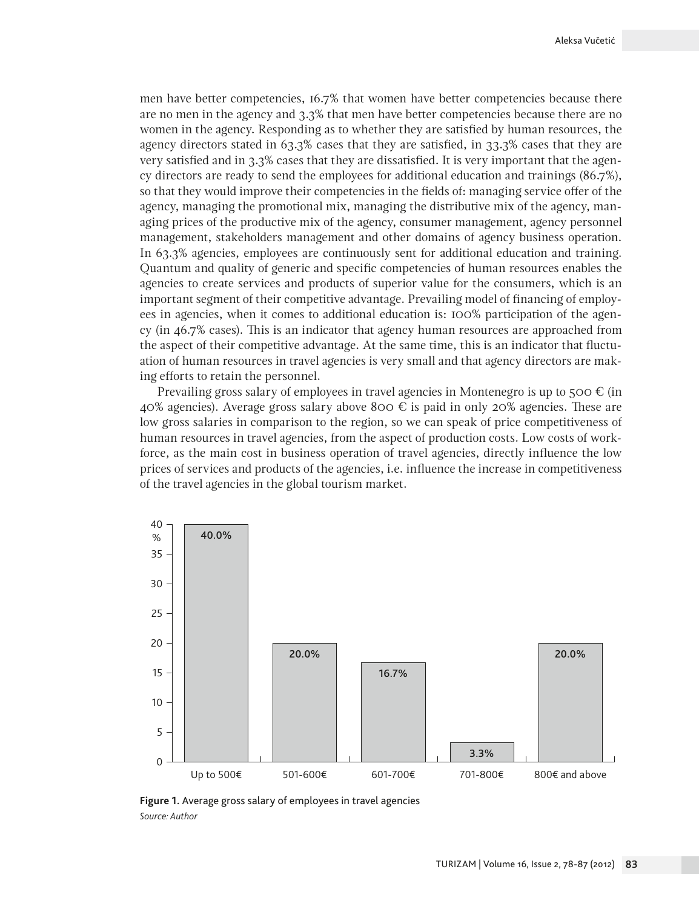men have better competencies, 16.7% that women have better competencies because there are no men in the agency and 3.3% that men have better competencies because there are no women in the agency. Responding as to whether they are satisfied by human resources, the agency directors stated in 63.3% cases that they are satisfied, in 33.3% cases that they are very satisfied and in 3.3% cases that they are dissatisfied. It is very important that the agency directors are ready to send the employees for additional education and trainings (86.7%), so that they would improve their competencies in the fields of: managing service offer of the agency, managing the promotional mix, managing the distributive mix of the agency, managing prices of the productive mix of the agency, consumer management, agency personnel management, stakeholders management and other domains of agency business operation. In 63.3% agencies, employees are continuously sent for additional education and training. Quantum and quality of generic and specific competencies of human resources enables the agencies to create services and products of superior value for the consumers, which is an important segment of their competitive advantage. Prevailing model of financing of employees in agencies, when it comes to additional education is: 100% participation of the agency (in 46.7% cases). This is an indicator that agency human resources are approached from the aspect of their competitive advantage. At the same time, this is an indicator that fluctuation of human resources in travel agencies is very small and that agency directors are making efforts to retain the personnel.

Prevailing gross salary of employees in travel agencies in Montenegro is up to  $500 \in (in$ 40% agencies). Average gross salary above 800  $\epsilon$  is paid in only 20% agencies. These are low gross salaries in comparison to the region, so we can speak of price competitiveness of human resources in travel agencies, from the aspect of production costs. Low costs of workforce, as the main cost in business operation of travel agencies, directly influence the low prices of services and products of the agencies, i.e. influence the increase in competitiveness of the travel agencies in the global tourism market.



**Figure 1.** Average gross salary of employees in travel agencies *Source: Author*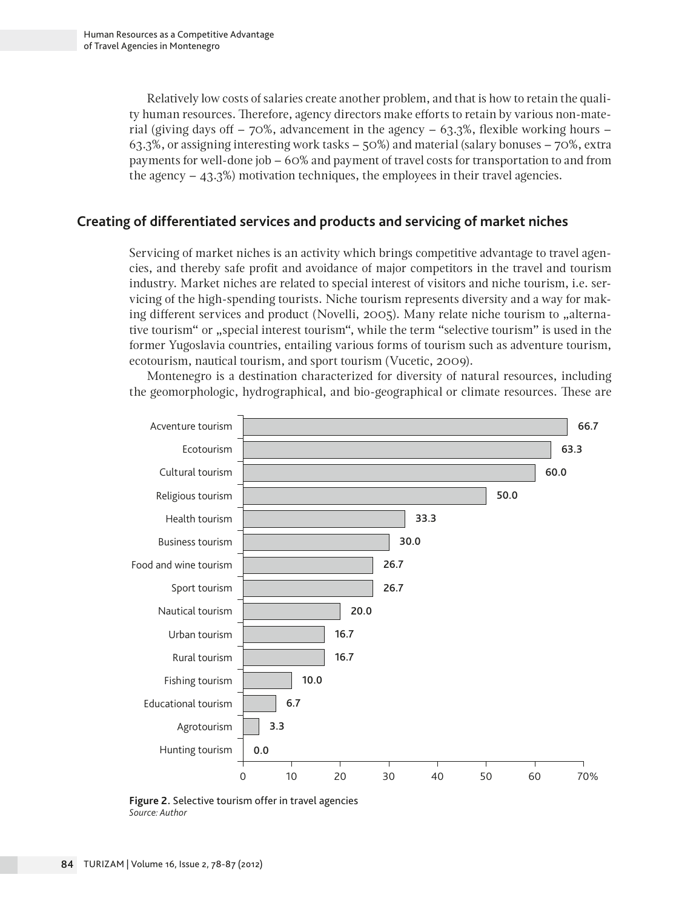Relatively low costs of salaries create another problem, and that is how to retain the quality human resources. Therefore, agency directors make efforts to retain by various non-material (giving days off  $-70\%$ , advancement in the agency  $-63.3\%$ , flexible working hours  $-$ 63.3%, or assigning interesting work tasks – 50%) and material (salary bonuses – 70%, extra payments for well-done job – 60% and payment of travel costs for transportation to and from the agency  $-43.3\%$ ) motivation techniques, the employees in their travel agencies.

# **Creating of differentiated services and products and servicing of market niches**

Servicing of market niches is an activity which brings competitive advantage to travel agencies, and thereby safe profit and avoidance of major competitors in the travel and tourism industry. Market niches are related to special interest of visitors and niche tourism, i.e. servicing of the high-spending tourists. Niche tourism represents diversity and a way for making different services and product (Novelli, 2005). Many relate niche tourism to "alternative tourism" or "special interest tourism", while the term "selective tourism" is used in the former Yugoslavia countries, entailing various forms of tourism such as adventure tourism, ecotourism, nautical tourism, and sport tourism (Vucetic, 2009).

Montenegro is a destination characterized for diversity of natural resources, including the geomorphologic, hydrographical, and bio-geographical or climate resources. These are



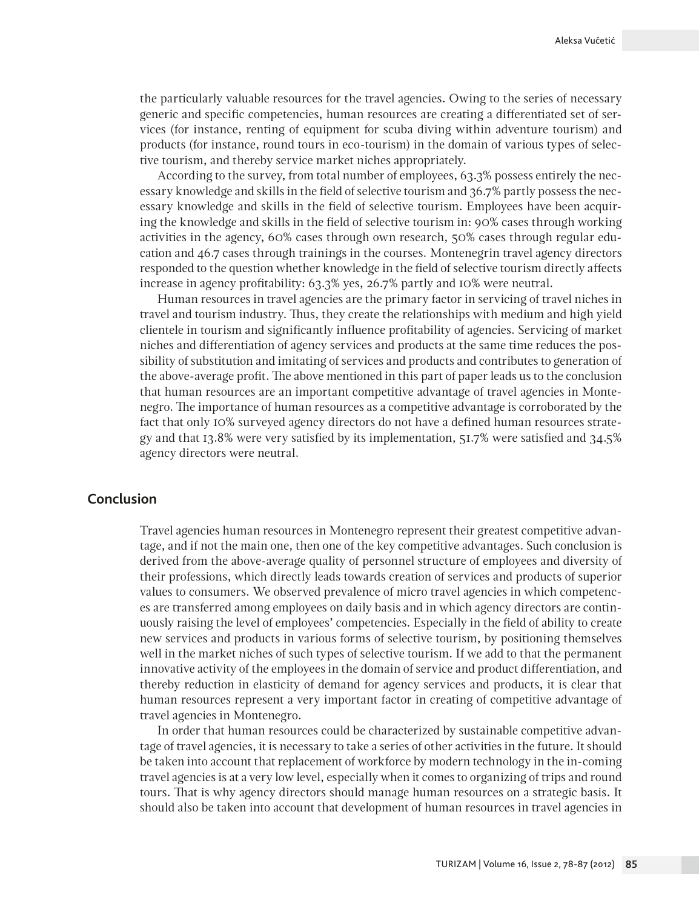the particularly valuable resources for the travel agencies. Owing to the series of necessary generic and specific competencies, human resources are creating a differentiated set of services (for instance, renting of equipment for scuba diving within adventure tourism) and products (for instance, round tours in eco-tourism) in the domain of various types of selective tourism, and thereby service market niches appropriately.

According to the survey, from total number of employees, 63.3% possess entirely the necessary knowledge and skills in the field of selective tourism and 36.7% partly possess the necessary knowledge and skills in the field of selective tourism. Employees have been acquiring the knowledge and skills in the field of selective tourism in: 90% cases through working activities in the agency, 60% cases through own research, 50% cases through regular education and 46.7 cases through trainings in the courses. Montenegrin travel agency directors responded to the question whether knowledge in the field of selective tourism directly affects increase in agency profitability: 63.3% yes, 26.7% partly and 10% were neutral.

Human resources in travel agencies are the primary factor in servicing of travel niches in travel and tourism industry. Thus, they create the relationships with medium and high yield clientele in tourism and significantly influence profitability of agencies. Servicing of market niches and differentiation of agency services and products at the same time reduces the possibility of substitution and imitating of services and products and contributes to generation of the above-average profit. The above mentioned in this part of paper leads us to the conclusion that human resources are an important competitive advantage of travel agencies in Montenegro. The importance of human resources as a competitive advantage is corroborated by the fact that only 10% surveyed agency directors do not have a defined human resources strategy and that 13.8% were very satisfied by its implementation, 51.7% were satisfied and 34.5% agency directors were neutral.

#### **Conclusion**

Travel agencies human resources in Montenegro represent their greatest competitive advantage, and if not the main one, then one of the key competitive advantages. Such conclusion is derived from the above-average quality of personnel structure of employees and diversity of their professions, which directly leads towards creation of services and products of superior values to consumers. We observed prevalence of micro travel agencies in which competences are transferred among employees on daily basis and in which agency directors are continuously raising the level of employees' competencies. Especially in the field of ability to create new services and products in various forms of selective tourism, by positioning themselves well in the market niches of such types of selective tourism. If we add to that the permanent innovative activity of the employees in the domain of service and product differentiation, and thereby reduction in elasticity of demand for agency services and products, it is clear that human resources represent a very important factor in creating of competitive advantage of travel agencies in Montenegro.

In order that human resources could be characterized by sustainable competitive advantage of travel agencies, it is necessary to take a series of other activities in the future. It should be taken into account that replacement of workforce by modern technology in the in-coming travel agencies is at a very low level, especially when it comes to organizing of trips and round tours. That is why agency directors should manage human resources on a strategic basis. It should also be taken into account that development of human resources in travel agencies in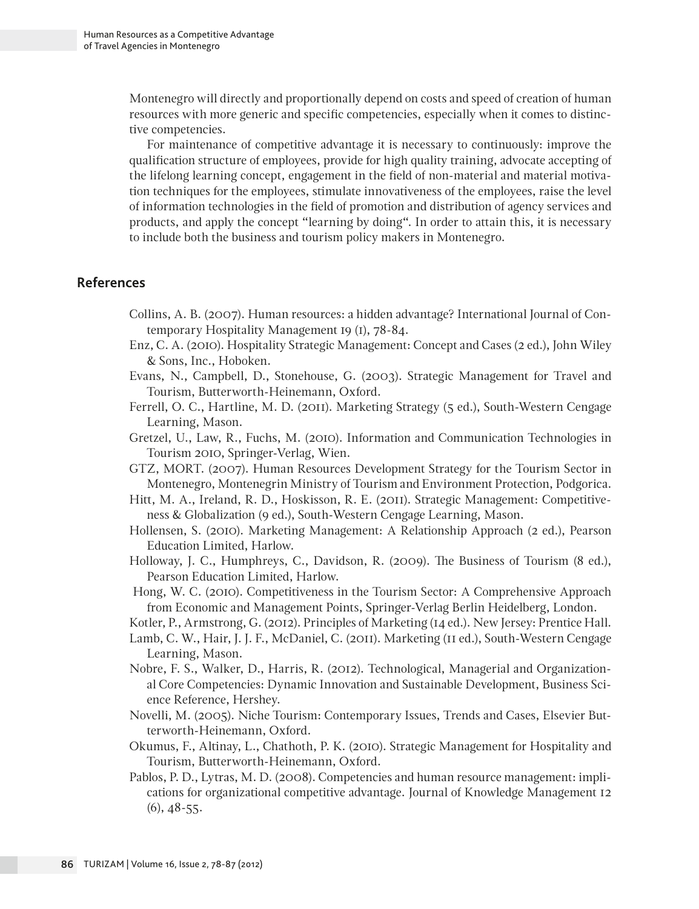Montenegro will directly and proportionally depend on costs and speed of creation of human resources with more generic and specific competencies, especially when it comes to distinctive competencies.

For maintenance of competitive advantage it is necessary to continuously: improve the qualification structure of employees, provide for high quality training, advocate accepting of the lifelong learning concept, engagement in the field of non-material and material motivation techniques for the employees, stimulate innovativeness of the employees, raise the level of information technologies in the field of promotion and distribution of agency services and products, and apply the concept "learning by doing". In order to attain this, it is necessary to include both the business and tourism policy makers in Montenegro.

# **References**

- Collins, A. B. (2007). Human resources: a hidden advantage? International Journal of Contemporary Hospitality Management 19 (1), 78-84.
- Enz, C. A. (2010). Hospitality Strategic Management: Concept and Cases (2 ed.), John Wiley & Sons, Inc., Hoboken.
- Evans, N., Campbell, D., Stonehouse, G. (2003). Strategic Management for Travel and Tourism, Butterworth-Heinemann, Oxford.
- Ferrell, O. C., Hartline, M. D. (2011). Marketing Strategy (5 ed.), South-Western Cengage Learning, Mason.
- Gretzel, U., Law, R., Fuchs, M. (2010). Information and Communication Technologies in Tourism 2010, Springer-Verlag, Wien.
- GTZ, MORT. (2007). Human Resources Development Strategy for the Tourism Sector in Montenegro, Montenegrin Ministry of Tourism and Environment Protection, Podgorica.
- Hitt, M. A., Ireland, R. D., Hoskisson, R. E. (2011). Strategic Management: Competitiveness & Globalization (9 ed.), South-Western Cengage Learning, Mason.
- Hollensen, S. (2010). Marketing Management: A Relationship Approach (2 ed.), Pearson Education Limited, Harlow.
- Holloway, J. C., Humphreys, C., Davidson, R. (2009). The Business of Tourism (8 ed.), Pearson Education Limited, Harlow.
- Hong, W. C. (2010). Competitiveness in the Tourism Sector: A Comprehensive Approach from Economic and Management Points, Springer-Verlag Berlin Heidelberg, London.
- Kotler, P., Armstrong, G. (2012). Principles of Marketing (14 ed.). New Jersey: Prentice Hall.
- Lamb, C. W., Hair, J. J. F., McDaniel, C. (2011). Marketing (11 ed.), South-Western Cengage Learning, Mason.
- Nobre, F. S., Walker, D., Harris, R. (2012). Technological, Managerial and Organizational Core Competencies: Dynamic Innovation and Sustainable Development, Business Science Reference, Hershey.
- Novelli, M. (2005). Niche Tourism: Contemporary Issues, Trends and Cases, Elsevier Butterworth-Heinemann, Oxford.
- Okumus, F., Altinay, L., Chathoth, P. K. (2010). Strategic Management for Hospitality and Tourism, Butterworth-Heinemann, Oxford.
- Pablos, P. D., Lytras, M. D. (2008). Competencies and human resource management: implications for organizational competitive advantage. Journal of Knowledge Management 12 (6), 48-55.